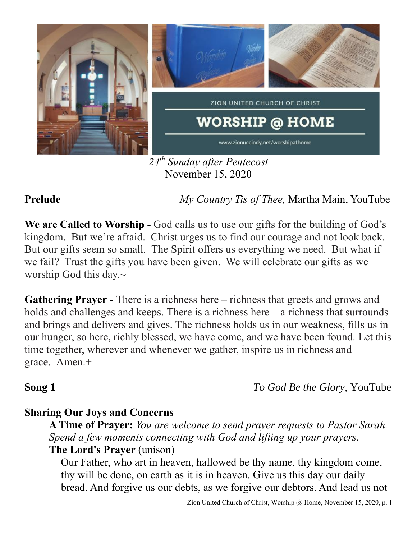

*24 th Sunday after Pentecost* November 15, 2020

**Prelude** *My Country Tis of Thee,* Martha Main, YouTube

**We are Called to Worship -** God calls us to use our gifts for the building of God's kingdom. But we're afraid. Christ urges us to find our courage and not look back. But our gifts seem so small. The Spirit offers us everything we need. But what if we fail? Trust the gifts you have been given. We will celebrate our gifts as we worship God this day. $\sim$ 

**Gathering Prayer** - There is a richness here – richness that greets and grows and holds and challenges and keeps. There is a richness here – a richness that surrounds and brings and delivers and gives. The richness holds us in our weakness, fills us in our hunger, so here, richly blessed, we have come, and we have been found. Let this time together, wherever and whenever we gather, inspire us in richness and grace. Amen.+

**Song 1** *To God Be the Glory*, YouTube

# **Sharing Our Joys and Concerns**

**A Time of Prayer:** *You are welcome to send prayer requests to Pastor Sarah. Spend a few moments connecting with God and lifting up your prayers.* **The Lord's Prayer** (unison)

Our Father, who art in heaven, hallowed be thy name, thy kingdom come, thy will be done, on earth as it is in heaven. Give us this day our daily bread. And forgive us our debts, as we forgive our debtors. And lead us not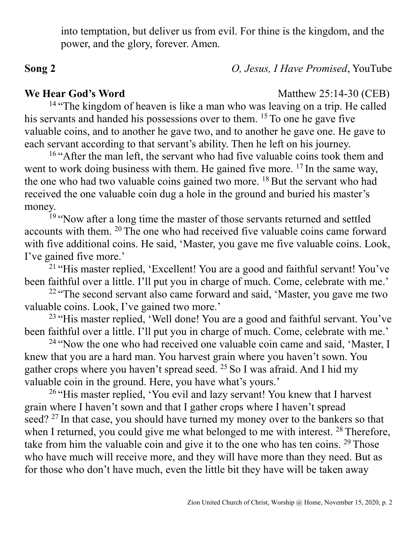into temptation, but deliver us from evil. For thine is the kingdom, and the power, and the glory, forever. Amen.

**Song 2** *O, Jesus, I Have Promised*, YouTube

### **We Hear God's Word** Matthew 25:14-30 (CEB)

<sup>14</sup> "The kingdom of heaven is like a man who was leaving on a trip. He called his servants and handed his possessions over to them. <sup>15</sup> To one he gave five valuable coins, and to another he gave two, and to another he gave one. He gave to each servant according to that servant's ability. Then he left on his journey.

<sup>16</sup> "After the man left, the servant who had five valuable coins took them and went to work doing business with them. He gained five more. <sup>17</sup> In the same way, the one who had two valuable coins gained two more.  $^{18}$  But the servant who had received the one valuable coin dug a hole in the ground and buried his master's money.

<sup>19</sup> "Now after a long time the master of those servants returned and settled accounts with them. <sup>20</sup> The one who had received five valuable coins came forward with five additional coins. He said, 'Master, you gave me five valuable coins. Look, I've gained five more.'

<sup>21</sup> "His master replied, 'Excellent! You are a good and faithful servant! You've been faithful over a little. I'll put you in charge of much. Come, celebrate with me.'

<sup>22</sup> "The second servant also came forward and said, 'Master, you gave me two valuable coins. Look, I've gained two more.'

<sup>23</sup> "His master replied, 'Well done! You are a good and faithful servant. You've been faithful over a little. I'll put you in charge of much. Come, celebrate with me.'

<sup>24</sup> "Now the one who had received one valuable coin came and said, 'Master, I knew that you are a hard man. You harvest grain where you haven't sown. You gather crops where you haven't spread seed. <sup>25</sup> So I was afraid. And I hid my valuable coin in the ground. Here, you have what's yours.'

<sup>26</sup> "His master replied, 'You evil and lazy servant! You knew that I harvest grain where I haven't sown and that I gather crops where I haven't spread seed? <sup>27</sup> In that case, you should have turned my money over to the bankers so that when I returned, you could give me what belonged to me with interest. <sup>28</sup> Therefore, take from him the valuable coin and give it to the one who has ten coins.  $29$  Those who have much will receive more, and they will have more than they need. But as for those who don't have much, even the little bit they have will be taken away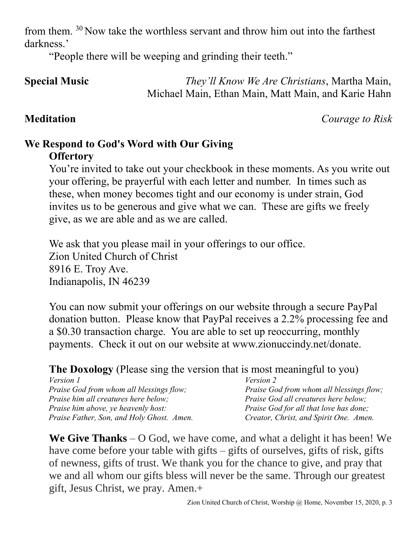from them. <sup>30</sup> Now take the worthless servant and throw him out into the farthest darkness.'

"People there will be weeping and grinding their teeth."

## **Special Music** *They'll Know We Are Christians*, Martha Main, Michael Main, Ethan Main, Matt Main, and Karie Hahn

**Meditation** *Courage to Risk*

### **We Respond to God's Word with Our Giving Offertory**

You're invited to take out your checkbook in these moments. As you write out your offering, be prayerful with each letter and number. In times such as these, when money becomes tight and our economy is under strain, God invites us to be generous and give what we can. These are gifts we freely give, as we are able and as we are called.

We ask that you please mail in your offerings to our office. Zion United Church of Christ 8916 E. Troy Ave. Indianapolis, IN 46239

You can now submit your offerings on our website through a secure PayPal donation button. Please know that PayPal receives a 2.2% processing fee and a \$0.30 transaction charge. You are able to set up reoccurring, monthly payments. Check it out on our website at www.zionuccindy.net/donate.

**The Doxology** (Please sing the version that is most meaningful to you)

| <i>Version 1</i>                           | <i>Version 2</i>                            |
|--------------------------------------------|---------------------------------------------|
| Praise God from whom all blessings flow;   | Praise God from whom all blessings flow;    |
| Praise him all creatures here below;       | <i>Praise God all creatures here below;</i> |
| <i>Praise him above, ye heavenly host:</i> | Praise God for all that love has done;      |
| Praise Father, Son, and Holy Ghost. Amen.  | Creator, Christ, and Spirit One. Amen.      |

**We Give Thanks** – O God, we have come, and what a delight it has been! We have come before your table with gifts – gifts of ourselves, gifts of risk, gifts of newness, gifts of trust. We thank you for the chance to give, and pray that we and all whom our gifts bless will never be the same. Through our greatest gift, Jesus Christ, we pray. Amen.+